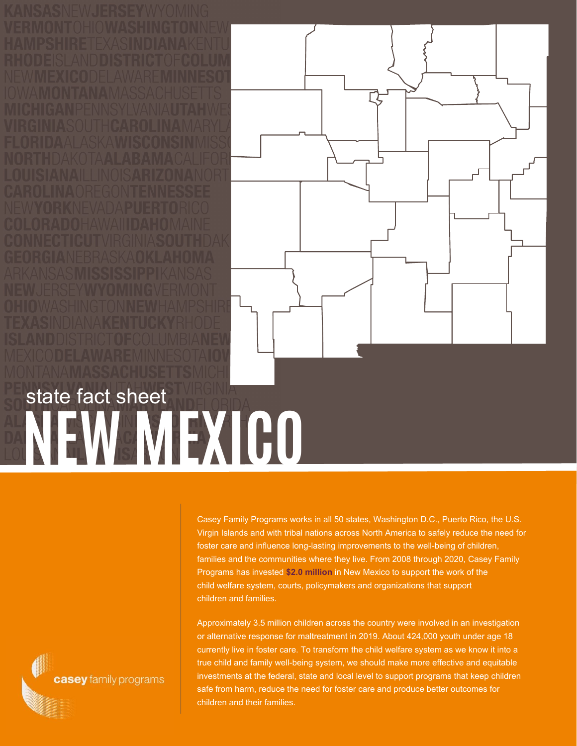**NEW MEXICO** state fact sheet

Casey Family Programs works in all 50 states, Washington D.C., Puerto Rico, the U.S. Virgin Islands and with tribal nations across North America to safely reduce the need for foster care and influence long-lasting improvements to the well-being of children, families and the communities where they live. From 2008 through 2020, Casey Family Programs has invested **\$2.0 million** in New Mexico to support the work of the child welfare system, courts, policymakers and organizations that support children and families.

Approximately 3.5 million children across the country were involved in an investigation or alternative response for maltreatment in 2019. About 424,000 youth under age 18 currently live in foster care. To transform the child welfare system as we know it into a true child and family well-being system, we should make more effective and equitable investments at the federal, state and local level to support programs that keep children safe from harm, reduce the need for foster care and produce better outcomes for children and their families.

casey family programs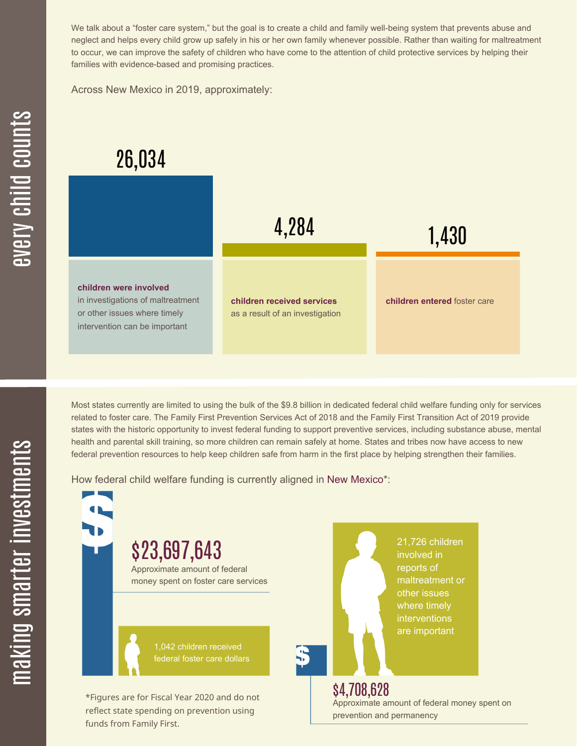We talk about a "foster care system," but the goal is to create a child and family well-being system that prevents abuse and neglect and helps every child grow up safely in his or her own family whenever possible. Rather than waiting for maltreatment to occur, we can improve the safety of children who have come to the attention of child protective services by helping their families with evidence-based and promising practices.

Across New Mexico in 2019, approximately:

## 26,034



Most states currently are limited to using the bulk of the \$9.8 billion in dedicated federal child welfare funding only for services related to foster care. The Family First Prevention Services Act of 2018 and the Family First Transition Act of 2019 provide states with the historic opportunity to invest federal funding to support preventive services, including substance abuse, mental health and parental skill training, so more children can remain safely at home. States and tribes now have access to new federal prevention resources to help keep children safe from harm in the first place by helping strengthen their families.

How federal child welfare funding is currently aligned in New Mexico\*:

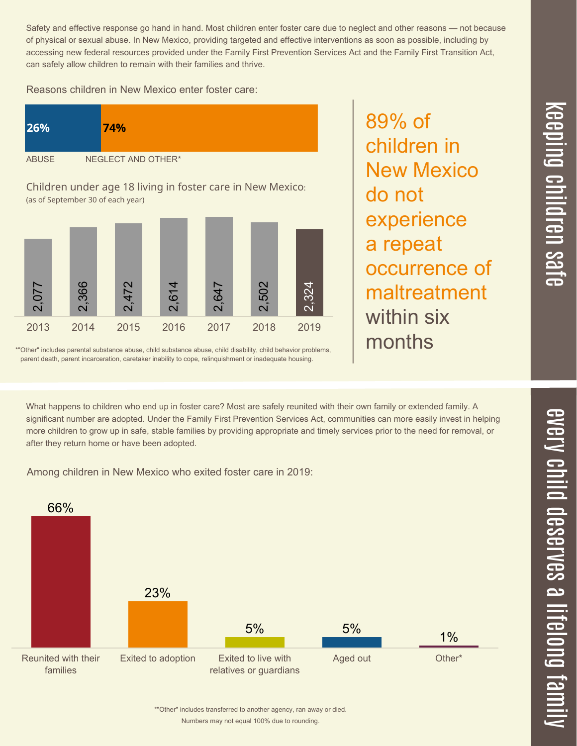$\overline{\mathbf \Theta}$  $\overline{\mathbf{C}}$ <u>pin</u>  $\overline{\mathbf{C}}$  $\overline{\mathbf{C}}$  $\equiv$  $\overline{\mathbf{c}}$  $\overline{\phantom{0}}$  $\boldsymbol{\mathcal{O}}$ a  $\overrightarrow{\mathbf{e}}$ 

 $\overline{\phantom{1}}$ 

Safety and effective response go hand in hand. Most children enter foster care due to neglect and other reasons — not because of physical or sexual abuse. In New Mexico, providing targeted and effective interventions as soon as possible, including by accessing new federal resources provided under the Family First Prevention Services Act and the Family First Transition Act, can safely allow children to remain with their families and thrive.

89% of

do not

children in

New Mexico

experience

occurrence of

maltreatment

a repeat

within six

months

Reasons children in New Mexico enter foster care:



Children under age 18 living in foster care in New Mexico: (as of September 30 of each year)



\*"Other" includes parental substance abuse, child substance abuse, child disability, child behavior problems, parent death, parent incarceration, caretaker inability to cope, relinquishment or inadequate housing.

What happens to children who end up in foster care? Most are safely reunited with their own family or extended family. A significant number are adopted. Under the Family First Prevention Services Act, communities can more easily invest in helping more children to grow up in safe, stable families by providing appropriate and timely services prior to the need for removal, or after they return home or have been adopted.

Among children in New Mexico who exited foster care in 2019:



Numbers may not equal 100% due to rounding. \*"Other" includes transferred to another agency, ran away or died.  $\overline{\mathbf{C}}$  $\leq$  $\overline{\mathbf{C}}$